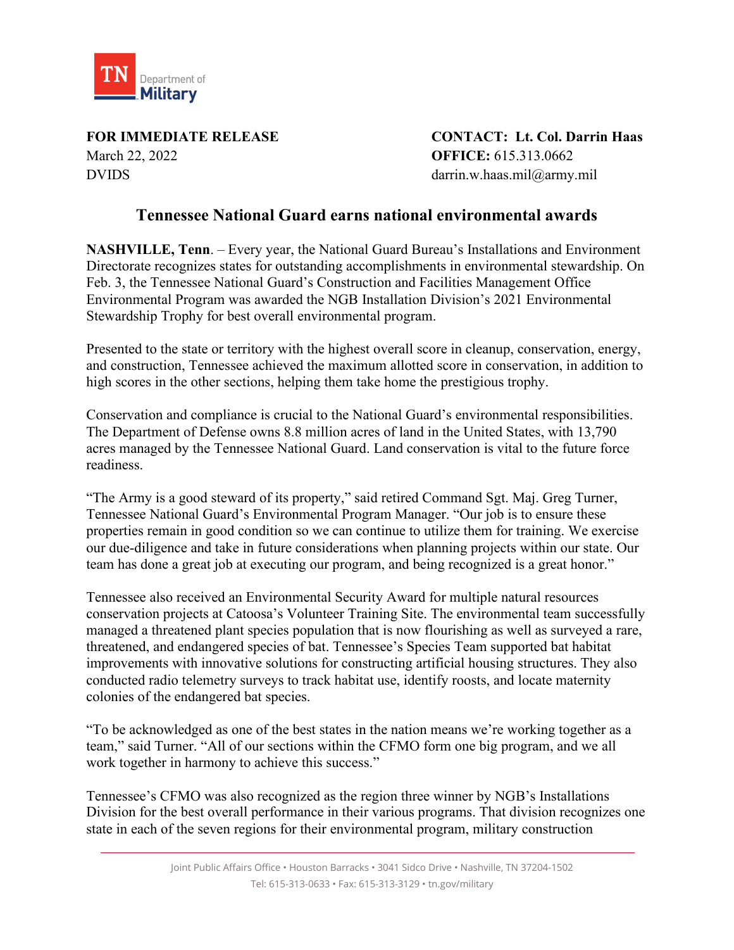

March 22, 2022 **OFFICE:** 615.313.0662 DVIDS darrin.w.haas.mil@army.mil

**FOR IMMEDIATE RELEASE CONTACT: Lt. Col. Darrin Haas**

## **Tennessee National Guard earns national environmental awards**

**NASHVILLE, Tenn**. – Every year, the National Guard Bureau's Installations and Environment Directorate recognizes states for outstanding accomplishments in environmental stewardship. On Feb. 3, the Tennessee National Guard's Construction and Facilities Management Office Environmental Program was awarded the NGB Installation Division's 2021 Environmental Stewardship Trophy for best overall environmental program.

Presented to the state or territory with the highest overall score in cleanup, conservation, energy, and construction, Tennessee achieved the maximum allotted score in conservation, in addition to high scores in the other sections, helping them take home the prestigious trophy.

Conservation and compliance is crucial to the National Guard's environmental responsibilities. The Department of Defense owns 8.8 million acres of land in the United States, with 13,790 acres managed by the Tennessee National Guard. Land conservation is vital to the future force readiness.

"The Army is a good steward of its property," said retired Command Sgt. Maj. Greg Turner, Tennessee National Guard's Environmental Program Manager. "Our job is to ensure these properties remain in good condition so we can continue to utilize them for training. We exercise our due-diligence and take in future considerations when planning projects within our state. Our team has done a great job at executing our program, and being recognized is a great honor."

Tennessee also received an Environmental Security Award for multiple natural resources conservation projects at Catoosa's Volunteer Training Site. The environmental team successfully managed a threatened plant species population that is now flourishing as well as surveyed a rare, threatened, and endangered species of bat. Tennessee's Species Team supported bat habitat improvements with innovative solutions for constructing artificial housing structures. They also conducted radio telemetry surveys to track habitat use, identify roosts, and locate maternity colonies of the endangered bat species.

"To be acknowledged as one of the best states in the nation means we're working together as a team," said Turner. "All of our sections within the CFMO form one big program, and we all work together in harmony to achieve this success."

Tennessee's CFMO was also recognized as the region three winner by NGB's Installations Division for the best overall performance in their various programs. That division recognizes one state in each of the seven regions for their environmental program, military construction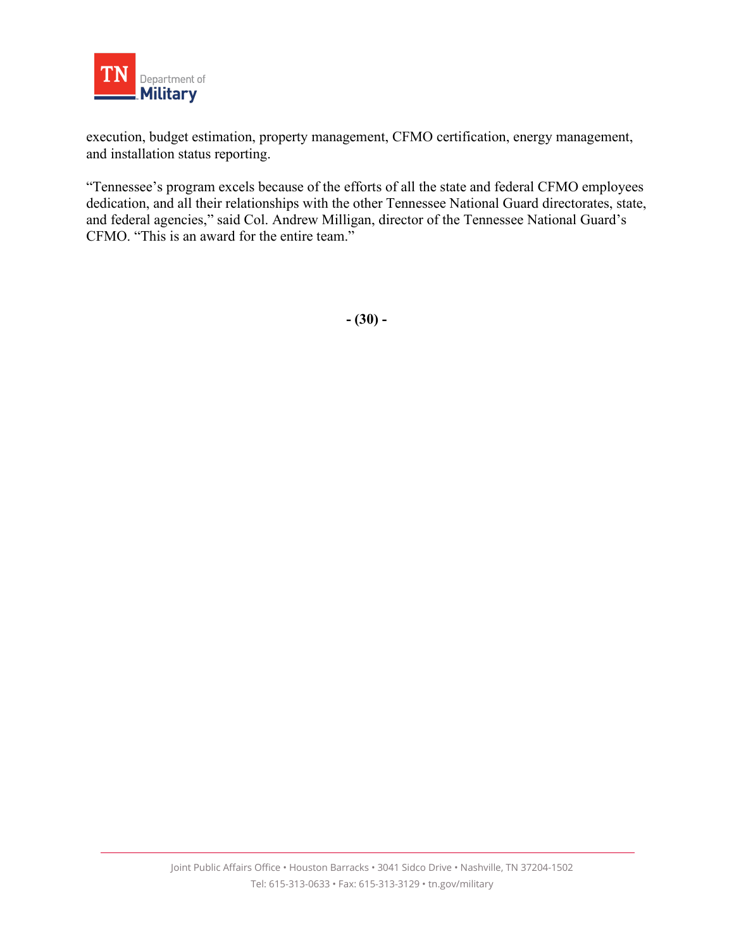

execution, budget estimation, property management, CFMO certification, energy management, and installation status reporting.

"Tennessee's program excels because of the efforts of all the state and federal CFMO employees dedication, and all their relationships with the other Tennessee National Guard directorates, state, and federal agencies," said Col. Andrew Milligan, director of the Tennessee National Guard's CFMO. "This is an award for the entire team."

**- (30) -**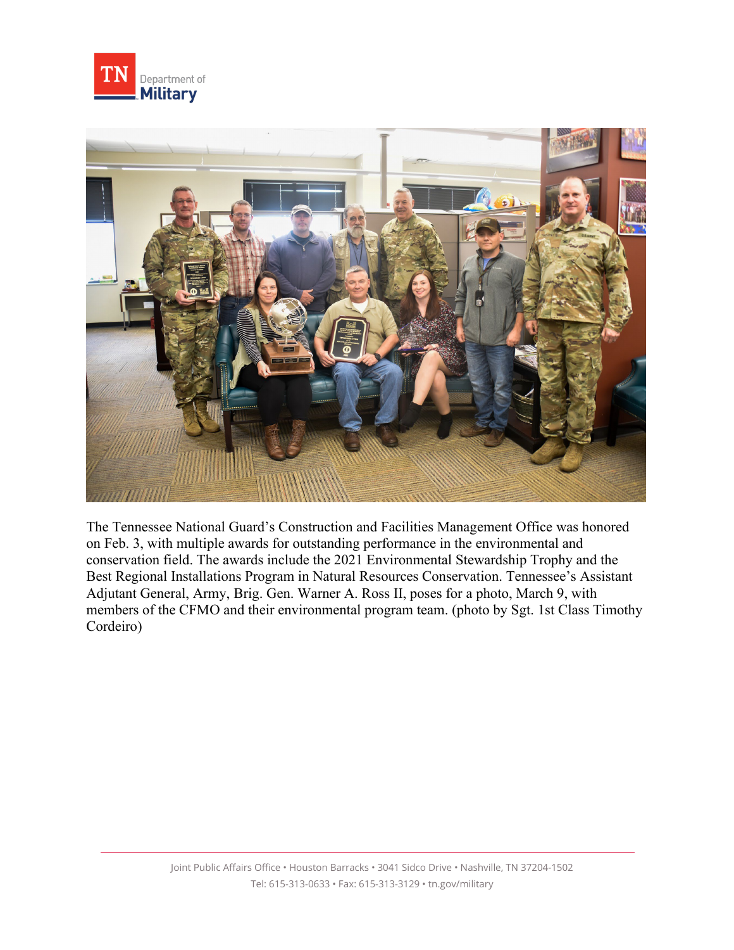



The Tennessee National Guard's Construction and Facilities Management Office was honored on Feb. 3, with multiple awards for outstanding performance in the environmental and conservation field. The awards include the 2021 Environmental Stewardship Trophy and the Best Regional Installations Program in Natural Resources Conservation. Tennessee's Assistant Adjutant General, Army, Brig. Gen. Warner A. Ross II, poses for a photo, March 9, with members of the CFMO and their environmental program team. (photo by Sgt. 1st Class Timothy Cordeiro)